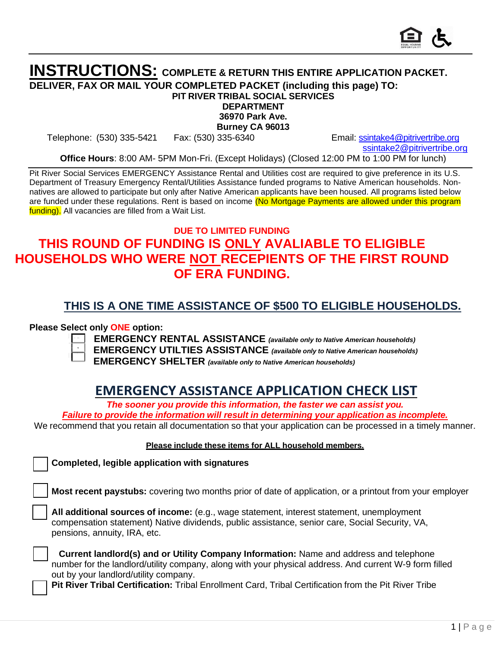

### **INSTRUCTIONS: COMPLETE & RETURN THIS ENTIRE APPLICATION PACKET. DELIVER, FAX OR MAIL YOUR COMPLETED PACKET (including this page) TO: PIT RIVER TRIBAL SOCIAL SERVICES**

**DEPARTMENT**

**36970 Park Ave.**

**Burney CA 96013**

Telephone: (530) 335-5421 Fax: (530) 335-6340 Email: [ssintake4@pitrivertribe.org](mailto:ssintake4@pitrivertribe.org)

[ssintake2@pitrivertribe.org](mailto:ssintake2@pitrivertribe.org)

**Office Hours**: 8:00 AM- 5PM Mon-Fri. (Except Holidays) (Closed 12:00 PM to 1:00 PM for lunch)

Pit River Social Services EMERGENCY Assistance Rental and Utilities cost are required to give preference in its U.S. Department of Treasury Emergency Rental/Utilities Assistance funded programs to Native American households. Nonnatives are allowed to participate but only after Native American applicants have been housed. All programs listed below are funded under these regulations. Rent is based on income (No Mortgage Payments are allowed under this program funding). All vacancies are filled from a Wait List.

## **DUE TO LIMITED FUNDING THIS ROUND OF FUNDING IS ONLY AVALIABLE TO ELIGIBLE HOUSEHOLDS WHO WERE NOT RECEPIENTS OF THE FIRST ROUND OF ERA FUNDING.**

## **THIS IS A ONE TIME ASSISTANCE OF \$500 TO ELIGIBLE HOUSEHOLDS.**

#### **Please Select only ONE option:**

**EMERGENCY RENTAL ASSISTANCE** *(available only to Native American households)* 



**EMERGENCY UTILTIES ASSISTANCE** *(available only to Native American households)* 

**EMERGENCY SHELTER** *(available only to Native American households)*

## **EMERGENCY ASSISTANCE APPLICATION CHECK LIST**

*The sooner you provide this information, the faster we can assist you.*

*Failure to provide the information will result in determining your application as incomplete.* We recommend that you retain all documentation so that your application can be processed in a timely manner.

#### **Please include these items for ALL household members.**

**Completed, legible application with signatures**

**Most recent paystubs:** covering two months prior of date of application, or a printout from your employer

**All additional sources of income:** (e.g., wage statement, interest statement, unemployment compensation statement) Native dividends, public assistance, senior care, Social Security, VA, pensions, annuity, IRA, etc.

**Current landlord(s) and or Utility Company Information:** Name and address and telephone number for the landlord/utility company, along with your physical address. And current W-9 form filled out by your landlord/utility company.

**Pit River Tribal Certification:** Tribal Enrollment Card, Tribal Certification from the Pit River Tribe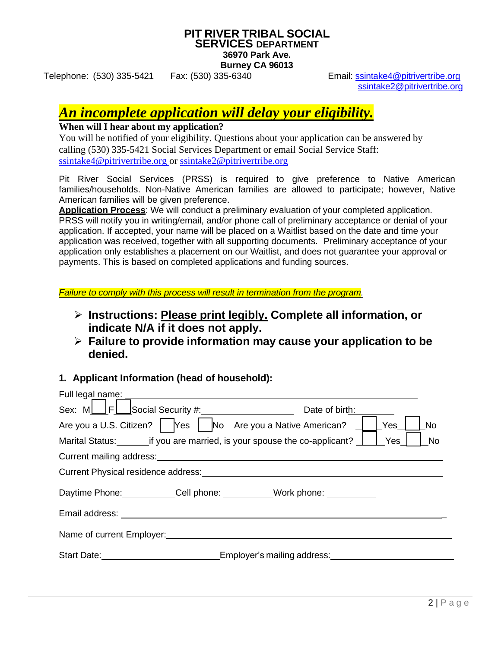#### **PIT RIVER TRIBAL SOCIAL SERVICES DEPARTMENT 36970 Park Ave. Burney CA 96013**

Telephone: (530) 335-5421 Fax: (530) 335-6340 Email: [ssintake4@pitrivertribe.org](mailto:ssintake4@pitrivertribe.org) [ssintake2@pitrivertribe.org](mailto:ssintake2@pitrivertribe.org)

# *An incomplete application will delay your eligibility.*

## **When will I hear about my application?**

You will be notified of your eligibility. Questions about your application can be answered by calling (530) 335-5421 Social Services Department or email Social Service Staff: [ssintake4@pitrivertribe.org o](mailto:ssintake4@pitrivertribe.org)r [ssintake2@pitrivertribe.org](mailto:ssintake2@pitrivertribe.org)

Pit River Social Services (PRSS) is required to give preference to Native American families/households. Non-Native American families are allowed to participate; however, Native American families will be given preference.

**Application Process**: We will conduct a preliminary evaluation of your completed application. PRSS will notify you in writing/email, and/or phone call of preliminary acceptance or denial of your application. If accepted, your name will be placed on a Waitlist based on the date and time your application was received, together with all supporting documents. Preliminary acceptance of your application only establishes a placement on our Waitlist, and does not guarantee your approval or payments. This is based on completed applications and funding sources.

*Failure to comply with this process will result in termination from the program.*

- ➢ **Instructions: Please print legibly. Complete all information, or indicate N/A if it does not apply.**
- ➢ **Failure to provide information may cause your application to be denied.**
- **1. Applicant Information (head of household):**

|                                                                                                                | Date of birth:                                                                                                 |
|----------------------------------------------------------------------------------------------------------------|----------------------------------------------------------------------------------------------------------------|
| Are you a U.S. Citizen? $\begin{vmatrix} \text{Yes} \\ \text{Yes} \end{vmatrix}$ No Are you a Native American? | Yes<br><b>No</b>                                                                                               |
| Marital Status: if you are married, is your spouse the co-applicant?                                           | Yes<br><b>No</b>                                                                                               |
|                                                                                                                |                                                                                                                |
| Current Physical residence address:<br><u>Current Physical residence</u> address:                              |                                                                                                                |
|                                                                                                                | Daytime Phone: Cell phone: Work phone:                                                                         |
|                                                                                                                |                                                                                                                |
| Name of current Employer:<br>Name of current Employer:                                                         |                                                                                                                |
|                                                                                                                | Start Date: Start Date: Start Date: Start Date: Start Date: Start Date: Start Date: Start Date: Start Date: St |
|                                                                                                                |                                                                                                                |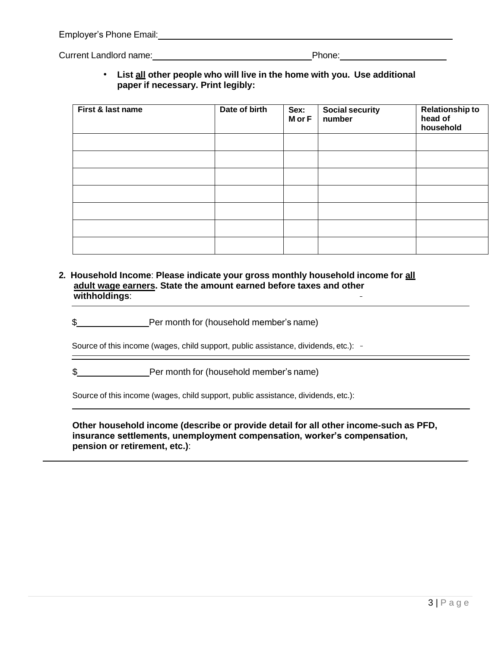| Employer's Phone Email: |  |
|-------------------------|--|
|                         |  |

Current Landlord name: Notified and the Current Landlord name: Phone:

• **List all other people who will live in the home with you. Use additional paper if necessary. Print legibly:**

| First & last name | Date of birth | Sex:<br>M or F | <b>Social security</b><br>number | <b>Relationship to</b><br>head of<br>household |
|-------------------|---------------|----------------|----------------------------------|------------------------------------------------|
|                   |               |                |                                  |                                                |
|                   |               |                |                                  |                                                |
|                   |               |                |                                  |                                                |
|                   |               |                |                                  |                                                |
|                   |               |                |                                  |                                                |
|                   |               |                |                                  |                                                |
|                   |               |                |                                  |                                                |

- **2. Household Income**: **Please indicate your gross monthly household income for all adult wage earners. State the amount earned before taxes and other withholdings**:
	- \$

Source of this income (wages, child support, public assistance, dividends, etc.): -

\$

Source of this income (wages, child support, public assistance, dividends, etc.):

**Other household income (describe or provide detail for all other income-such as PFD, insurance settlements, unemployment compensation, worker's compensation, pension or retirement, etc.)**: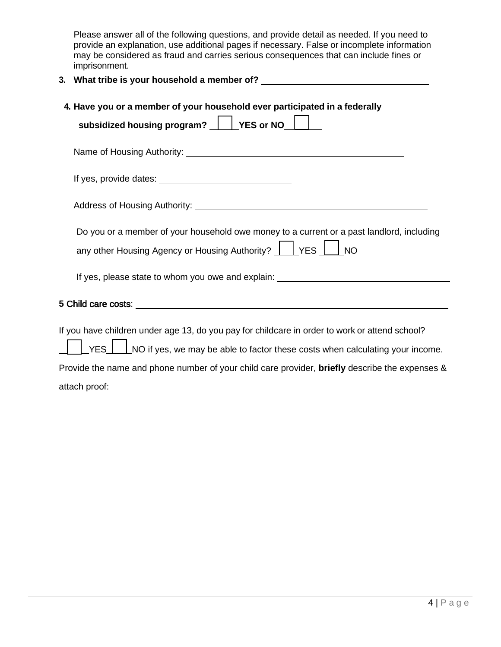Please answer all of the following questions, and provide detail as needed. If you need to provide an explanation, use additional pages if necessary. False or incomplete information may be considered as fraud and carries serious consequences that can include fines or imprisonment.

**3. What tribe is your household a member of?**

| 4. Have you or a member of your household ever participated in a federally<br>subsidized housing program? $\Box$ YES or NO $\Box$                                                                                             |
|-------------------------------------------------------------------------------------------------------------------------------------------------------------------------------------------------------------------------------|
|                                                                                                                                                                                                                               |
|                                                                                                                                                                                                                               |
|                                                                                                                                                                                                                               |
| Do you or a member of your household owe money to a current or a past landlord, including<br>any other Housing Agency or Housing Authority?     YES   NO                                                                      |
| If yes, please state to whom you owe and explain: ______________________________                                                                                                                                              |
|                                                                                                                                                                                                                               |
| If you have children under age 13, do you pay for childcare in order to work or attend school?<br>$\sqrt{\frac{1}{1}}$ YES $\sqrt{\frac{1}{1}}$ NO if yes, we may be able to factor these costs when calculating your income. |
| Provide the name and phone number of your child care provider, briefly describe the expenses &                                                                                                                                |
|                                                                                                                                                                                                                               |

Ц,